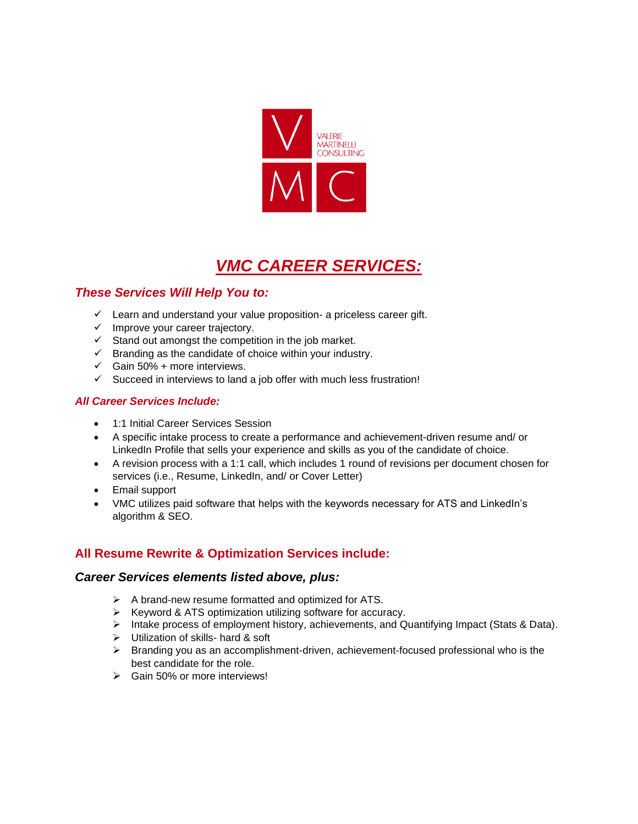

# *VMC CAREER SERVICES:*

# *These Services Will Help You to:*

- ✓ Learn and understand your value proposition- a priceless career gift.
- ✓ Improve your career trajectory.
- $\checkmark$  Stand out amongst the competition in the job market.
- $\checkmark$  Branding as the candidate of choice within your industry.
- $\checkmark$  Gain 50% + more interviews.
- ✓ Succeed in interviews to land a job offer with much less frustration!

#### *All Career Services Include:*

- 1:1 Initial Career Services Session
- A specific intake process to create a performance and achievement-driven resume and/ or LinkedIn Profile that sells your experience and skills as you of the candidate of choice.
- A revision process with a 1:1 call, which includes 1 round of revisions per document chosen for services (i.e., Resume, LinkedIn, and/ or Cover Letter)
- Email support
- VMC utilizes paid software that helps with the keywords necessary for ATS and LinkedIn's algorithm & SEO.

# **All Resume Rewrite & Optimization Services include:**

#### *Career Services elements listed above, plus:*

- ➢ A brand-new resume formatted and optimized for ATS.
- ➢ Keyword & ATS optimization utilizing software for accuracy.
- ➢ Intake process of employment history, achievements, and Quantifying Impact (Stats & Data).
- ➢ Utilization of skills- hard & soft
- $\triangleright$  Branding you as an accomplishment-driven, achievement-focused professional who is the best candidate for the role.
- ➢ Gain 50% or more interviews!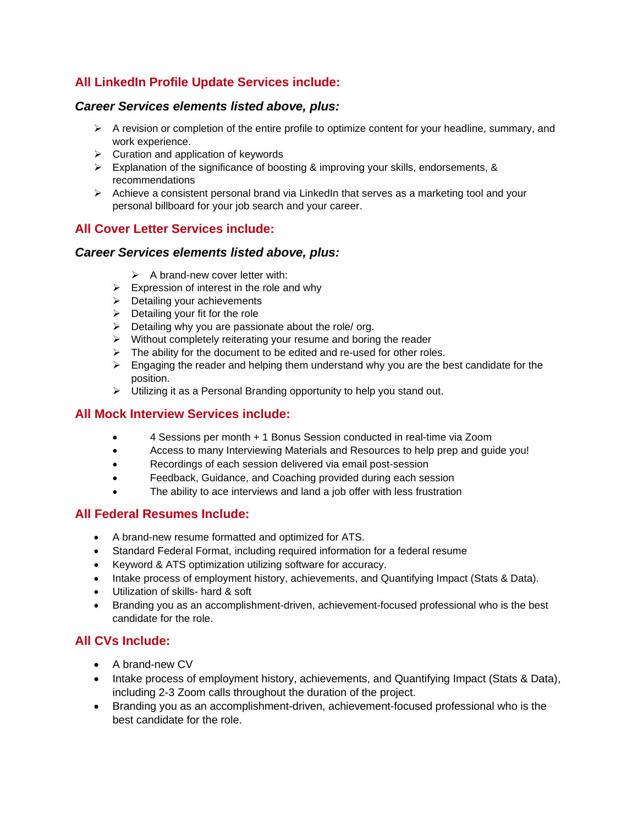# **All LinkedIn Profile Update Services include:**

#### *Career Services elements listed above, plus:*

- $\triangleright$  A revision or completion of the entire profile to optimize content for your headline, summary, and work experience.
- ➢ Curation and application of keywords
- $\triangleright$  Explanation of the significance of boosting & improving your skills, endorsements, & recommendations
- $\triangleright$  Achieve a consistent personal brand via LinkedIn that serves as a marketing tool and your personal billboard for your job search and your career.

## **All Cover Letter Services include:**

#### *Career Services elements listed above, plus:*

- $\triangleright$  A brand-new cover letter with:
- $\triangleright$  Expression of interest in the role and why
- $\triangleright$  Detailing your achievements
- $\triangleright$  Detailing your fit for the role
- $\triangleright$  Detailing why you are passionate about the role/ org.
- ➢ Without completely reiterating your resume and boring the reader
- $\triangleright$  The ability for the document to be edited and re-used for other roles.
- $\triangleright$  Engaging the reader and helping them understand why you are the best candidate for the position.
- ➢ Utilizing it as a Personal Branding opportunity to help you stand out.

#### **All Mock Interview Services include:**

- 4 Sessions per month + 1 Bonus Session conducted in real-time via Zoom
- Access to many Interviewing Materials and Resources to help prep and guide you!
- Recordings of each session delivered via email post-session
- Feedback, Guidance, and Coaching provided during each session
- The ability to ace interviews and land a job offer with less frustration

### **All Federal Resumes Include:**

- A brand-new resume formatted and optimized for ATS.
- Standard Federal Format, including required information for a federal resume
- Keyword & ATS optimization utilizing software for accuracy.
- Intake process of employment history, achievements, and Quantifying Impact (Stats & Data).
- Utilization of skills- hard & soft
- Branding you as an accomplishment-driven, achievement-focused professional who is the best candidate for the role.

# **All CVs Include:**

- A brand-new CV
- Intake process of employment history, achievements, and Quantifying Impact (Stats & Data), including 2-3 Zoom calls throughout the duration of the project.
- Branding you as an accomplishment-driven, achievement-focused professional who is the best candidate for the role.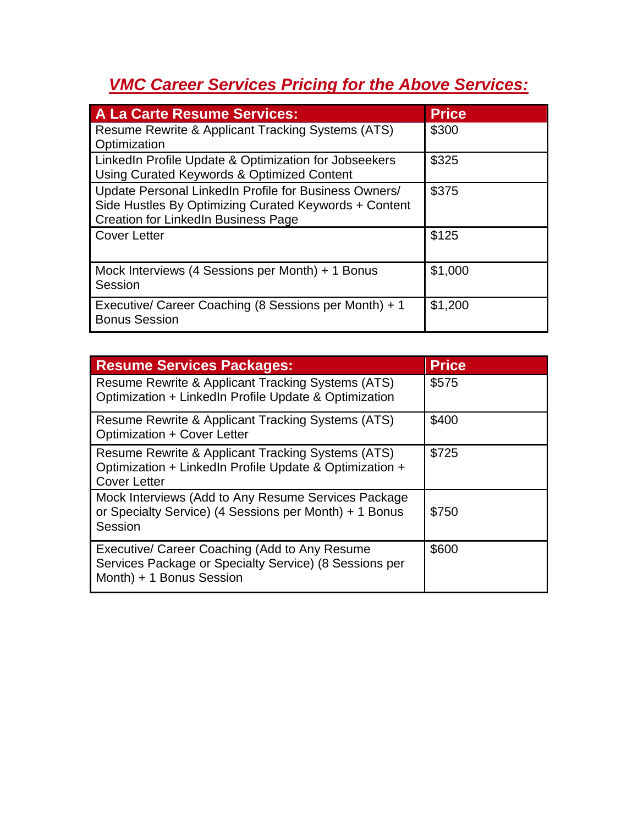# *VMC Career Services Pricing for the Above Services:*

| A La Carte Resume Services:                                                                                                                                  | <b>Price</b> |
|--------------------------------------------------------------------------------------------------------------------------------------------------------------|--------------|
| Resume Rewrite & Applicant Tracking Systems (ATS)<br>Optimization                                                                                            | \$300        |
| LinkedIn Profile Update & Optimization for Jobseekers<br>Using Curated Keywords & Optimized Content                                                          | \$325        |
| Update Personal LinkedIn Profile for Business Owners/<br>Side Hustles By Optimizing Curated Keywords + Content<br><b>Creation for LinkedIn Business Page</b> | \$375        |
| <b>Cover Letter</b>                                                                                                                                          | \$125        |
| Mock Interviews (4 Sessions per Month) + 1 Bonus<br>Session                                                                                                  | \$1,000      |
| Executive/ Career Coaching (8 Sessions per Month) + 1<br><b>Bonus Session</b>                                                                                | \$1,200      |

| <b>Resume Services Packages:</b>                                                                                                    | <b>Price</b> |
|-------------------------------------------------------------------------------------------------------------------------------------|--------------|
| Resume Rewrite & Applicant Tracking Systems (ATS)<br>Optimization + LinkedIn Profile Update & Optimization                          | \$575        |
| Resume Rewrite & Applicant Tracking Systems (ATS)<br>Optimization + Cover Letter                                                    | \$400        |
| Resume Rewrite & Applicant Tracking Systems (ATS)<br>Optimization + LinkedIn Profile Update & Optimization +<br><b>Cover Letter</b> | \$725        |
| Mock Interviews (Add to Any Resume Services Package<br>or Specialty Service) (4 Sessions per Month) + 1 Bonus<br>Session            | \$750        |
| Executive/ Career Coaching (Add to Any Resume<br>Services Package or Specialty Service) (8 Sessions per<br>Month) + 1 Bonus Session | \$600        |